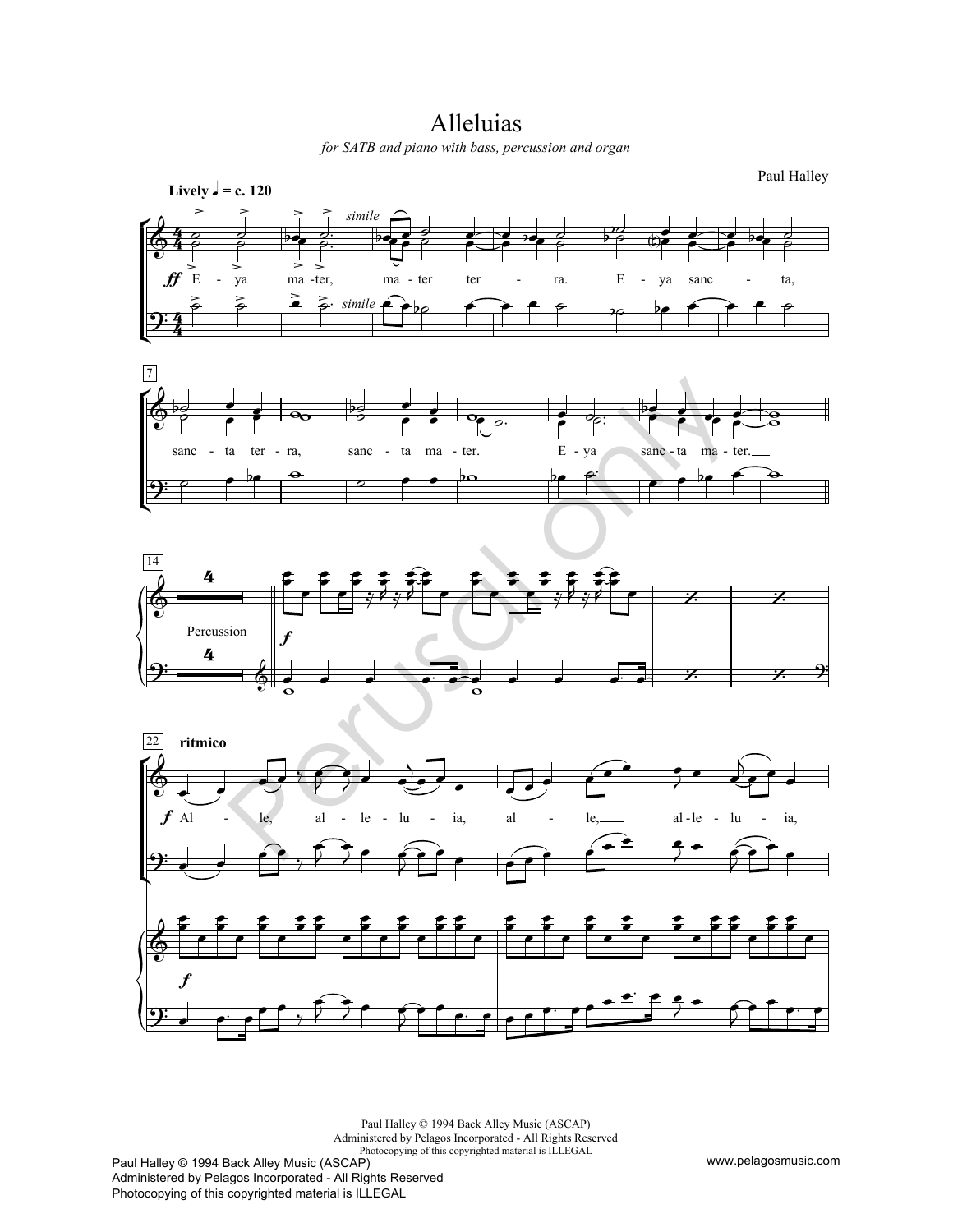## Alleluias

*for SATB and piano with bass, percussion and organ*









Paul Halley © 1994 Back Alley Music (ASCAP) Administered by Pelagos Incorporated - All Rights Reserved Photocopying of this copyrighted material is ILLEGAL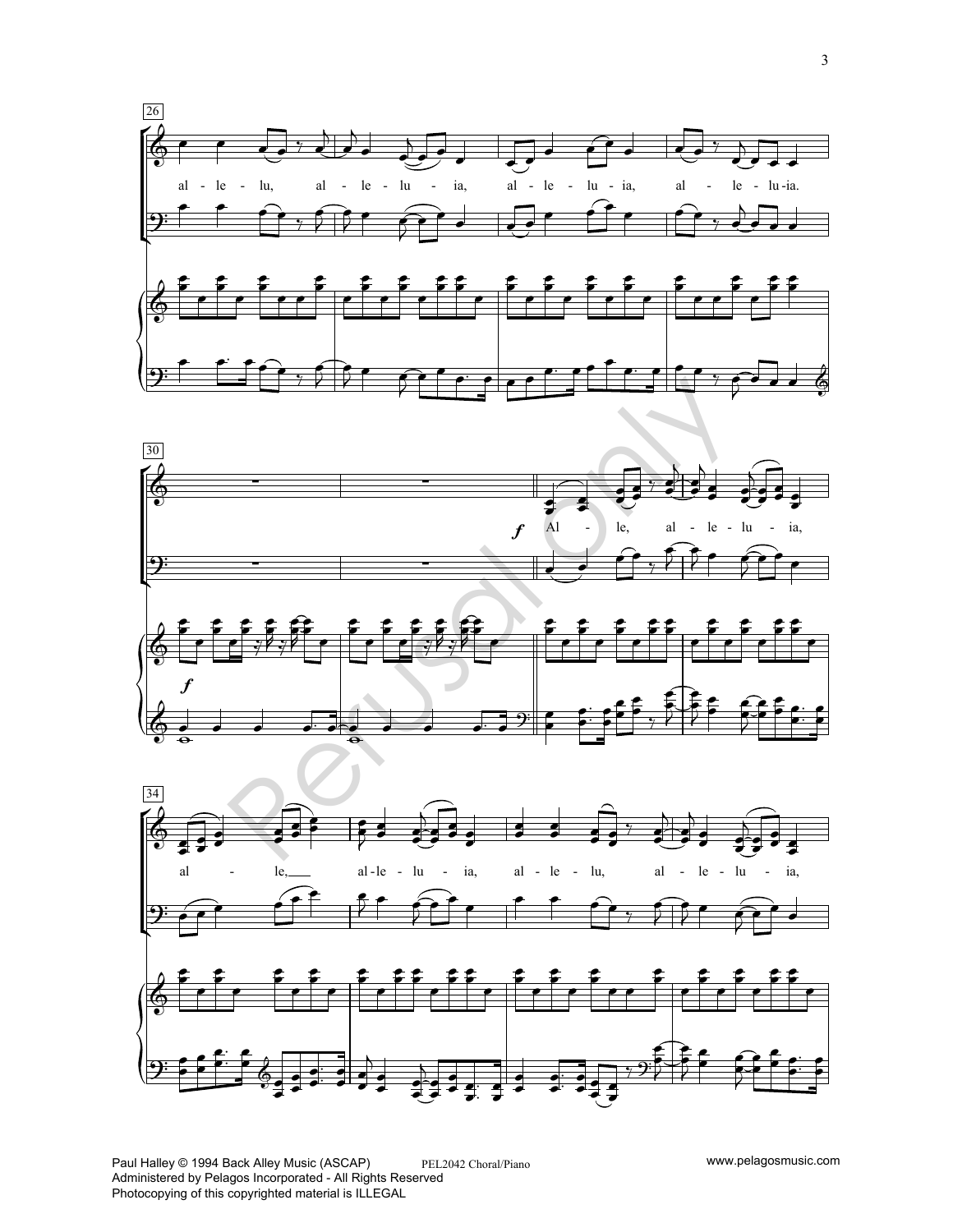